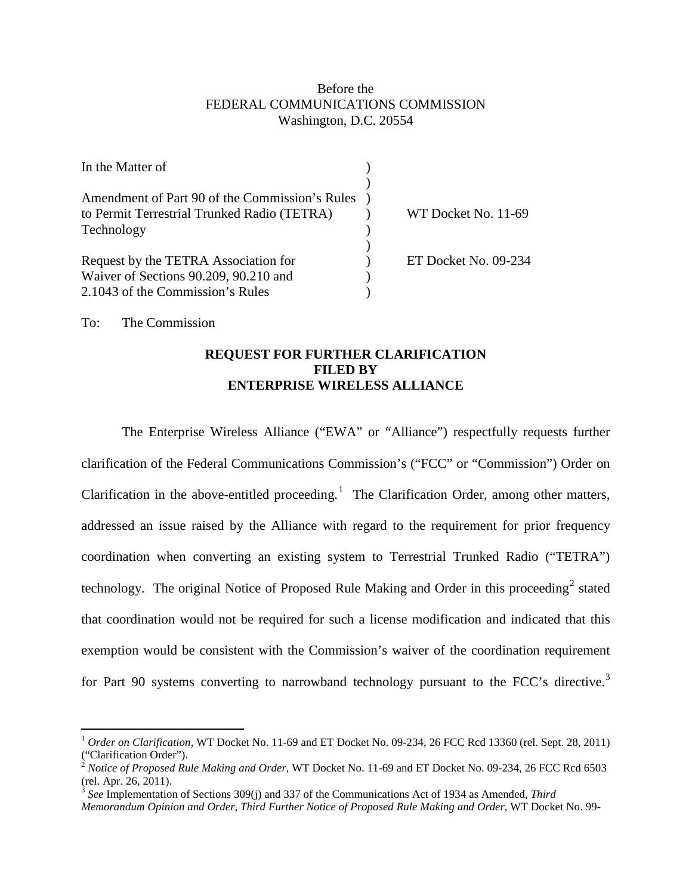## Before the FEDERAL COMMUNICATIONS COMMISSION Washington, D.C. 20554

| In the Matter of                                                                                                  |                      |
|-------------------------------------------------------------------------------------------------------------------|----------------------|
| Amendment of Part 90 of the Commission's Rules<br>to Permit Terrestrial Trunked Radio (TETRA)                     | WT Docket No. 11-69  |
| Technology                                                                                                        |                      |
| Request by the TETRA Association for<br>Waiver of Sections 90.209, 90.210 and<br>2.1043 of the Commission's Rules | ET Docket No. 09-234 |

To: The Commission

## **REQUEST FOR FURTHER CLARIFICATION FILED BY ENTERPRISE WIRELESS ALLIANCE**

The Enterprise Wireless Alliance ("EWA" or "Alliance") respectfully requests further clarification of the Federal Communications Commission's ("FCC" or "Commission") Order on Clarification in the above-entitled proceeding.<sup>[1](#page-0-0)</sup> The Clarification Order, among other matters, addressed an issue raised by the Alliance with regard to the requirement for prior frequency coordination when converting an existing system to Terrestrial Trunked Radio ("TETRA") technology. The original Notice of Proposed Rule Making and Order in this proceeding<sup>[2](#page-0-1)</sup> stated that coordination would not be required for such a license modification and indicated that this exemption would be consistent with the Commission's waiver of the coordination requirement for Part 90 systems converting to narrowband technology pursuant to the FCC's directive.<sup>[3](#page-0-2)</sup>

<span id="page-0-0"></span> <sup>1</sup> *Order on Clarification*, WT Docket No. 11-69 and ET Docket No. 09-234, 26 FCC Rcd 13360 (rel. Sept. 28, 2011) ("Clarification Order").

<span id="page-0-1"></span><sup>&</sup>lt;sup>2</sup> Notice of Proposed Rule Making and Order, WT Docket No. 11-69 and ET Docket No. 09-234, 26 FCC Rcd 6503 (rel. Apr. 26, 2011).

<span id="page-0-2"></span><sup>3</sup> *See* Implementation of Sections 309(j) and 337 of the Communications Act of 1934 as Amended, *Third* 

*Memorandum Opinion and Order, Third Further Notice of Proposed Rule Making and Order*, WT Docket No. 99-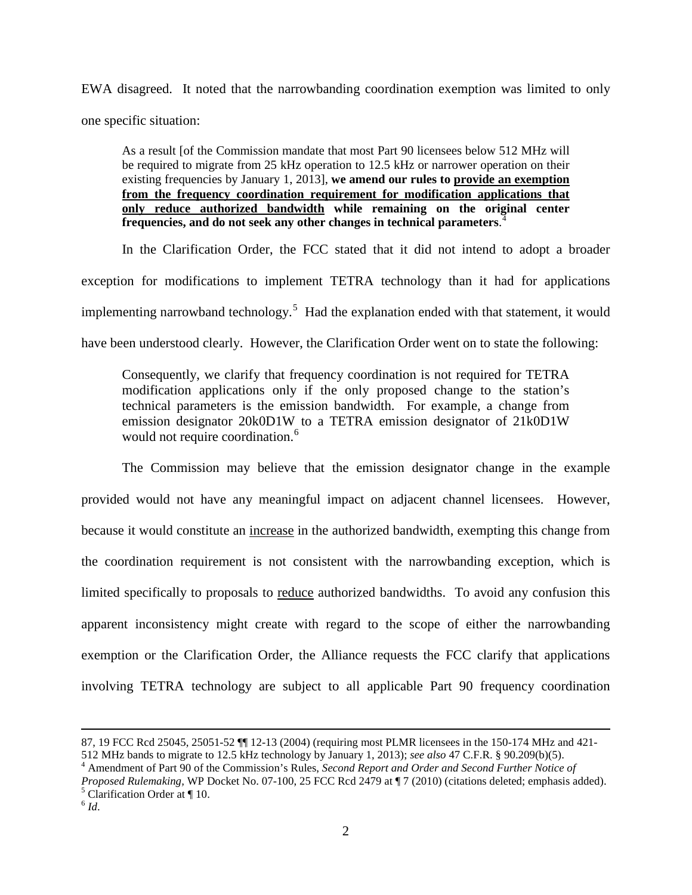EWA disagreed. It noted that the narrowbanding coordination exemption was limited to only one specific situation:

As a result [of the Commission mandate that most Part 90 licensees below 512 MHz will be required to migrate from 25 kHz operation to 12.5 kHz or narrower operation on their existing frequencies by January 1, 2013], **we amend our rules to provide an exemption from the frequency coordination requirement for modification applications that only reduce authorized bandwidth while remaining on the original center frequencies, and do not seek any other changes in technical parameters**. [4](#page-1-0)

In the Clarification Order, the FCC stated that it did not intend to adopt a broader exception for modifications to implement TETRA technology than it had for applications implementing narrowband technology.<sup>[5](#page-1-1)</sup> Had the explanation ended with that statement, it would have been understood clearly. However, the Clarification Order went on to state the following:

Consequently, we clarify that frequency coordination is not required for TETRA modification applications only if the only proposed change to the station's technical parameters is the emission bandwidth. For example, a change from emission designator 20k0D1W to a TETRA emission designator of 21k0D1W would not require coordination.<sup>[6](#page-1-2)</sup>

The Commission may believe that the emission designator change in the example provided would not have any meaningful impact on adjacent channel licensees. However, because it would constitute an increase in the authorized bandwidth, exempting this change from the coordination requirement is not consistent with the narrowbanding exception, which is limited specifically to proposals to reduce authorized bandwidths. To avoid any confusion this apparent inconsistency might create with regard to the scope of either the narrowbanding exemption or the Clarification Order, the Alliance requests the FCC clarify that applications involving TETRA technology are subject to all applicable Part 90 frequency coordination

<span id="page-1-0"></span><sup>4</sup> Amendment of Part 90 of the Commission's Rules, *Second Report and Order and Second Further Notice of* 

 $\overline{a}$ 

<sup>87, 19</sup> FCC Rcd 25045, 25051-52 ¶¶ 12-13 (2004) (requiring most PLMR licensees in the 150-174 MHz and 421- 512 MHz bands to migrate to 12.5 kHz technology by January 1, 2013); *see also* 47 C.F.R. § 90.209(b)(5).

<span id="page-1-2"></span><span id="page-1-1"></span>*Proposed Rulemaking,* WP Docket No. 07-100, 25 FCC Rcd 2479 at ¶ 7 (2010) (citations deleted; emphasis added).<br><sup>5</sup> Clarification Order at ¶ 10.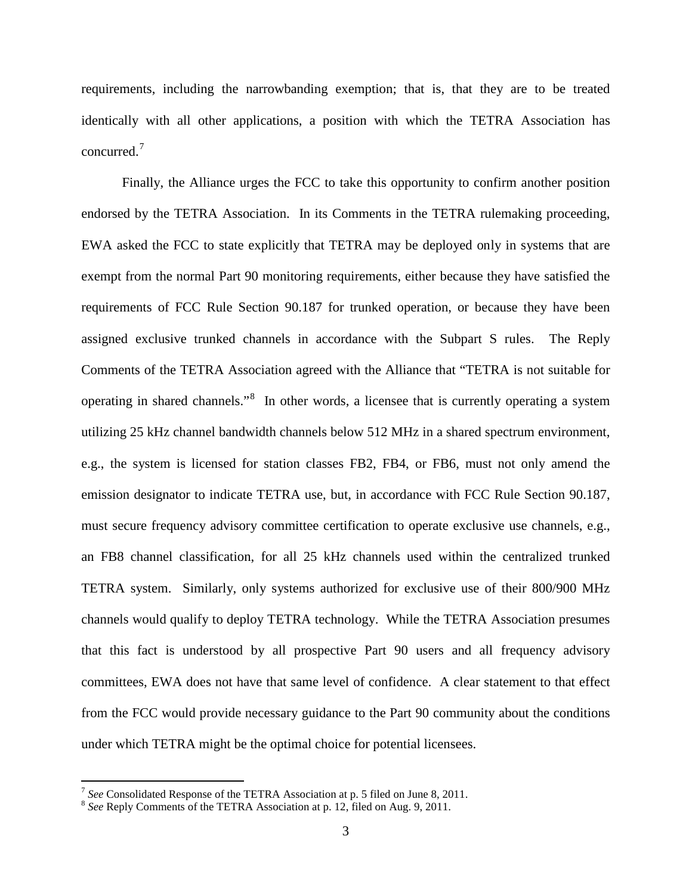requirements, including the narrowbanding exemption; that is, that they are to be treated identically with all other applications, a position with which the TETRA Association has concurred.[7](#page-2-0)

Finally, the Alliance urges the FCC to take this opportunity to confirm another position endorsed by the TETRA Association. In its Comments in the TETRA rulemaking proceeding, EWA asked the FCC to state explicitly that TETRA may be deployed only in systems that are exempt from the normal Part 90 monitoring requirements, either because they have satisfied the requirements of FCC Rule Section 90.187 for trunked operation, or because they have been assigned exclusive trunked channels in accordance with the Subpart S rules. The Reply Comments of the TETRA Association agreed with the Alliance that "TETRA is not suitable for operating in shared channels."<sup>[8](#page-2-1)</sup> In other words, a licensee that is currently operating a system utilizing 25 kHz channel bandwidth channels below 512 MHz in a shared spectrum environment, e.g., the system is licensed for station classes FB2, FB4, or FB6, must not only amend the emission designator to indicate TETRA use, but, in accordance with FCC Rule Section 90.187, must secure frequency advisory committee certification to operate exclusive use channels, e.g., an FB8 channel classification, for all 25 kHz channels used within the centralized trunked TETRA system. Similarly, only systems authorized for exclusive use of their 800/900 MHz channels would qualify to deploy TETRA technology. While the TETRA Association presumes that this fact is understood by all prospective Part 90 users and all frequency advisory committees, EWA does not have that same level of confidence. A clear statement to that effect from the FCC would provide necessary guidance to the Part 90 community about the conditions under which TETRA might be the optimal choice for potential licensees.

<span id="page-2-0"></span> <sup>7</sup> *See* Consolidated Response of the TETRA Association at p. 5 filed on June 8, 2011.

<span id="page-2-1"></span><sup>8</sup> *See* Reply Comments of the TETRA Association at p. 12, filed on Aug. 9, 2011.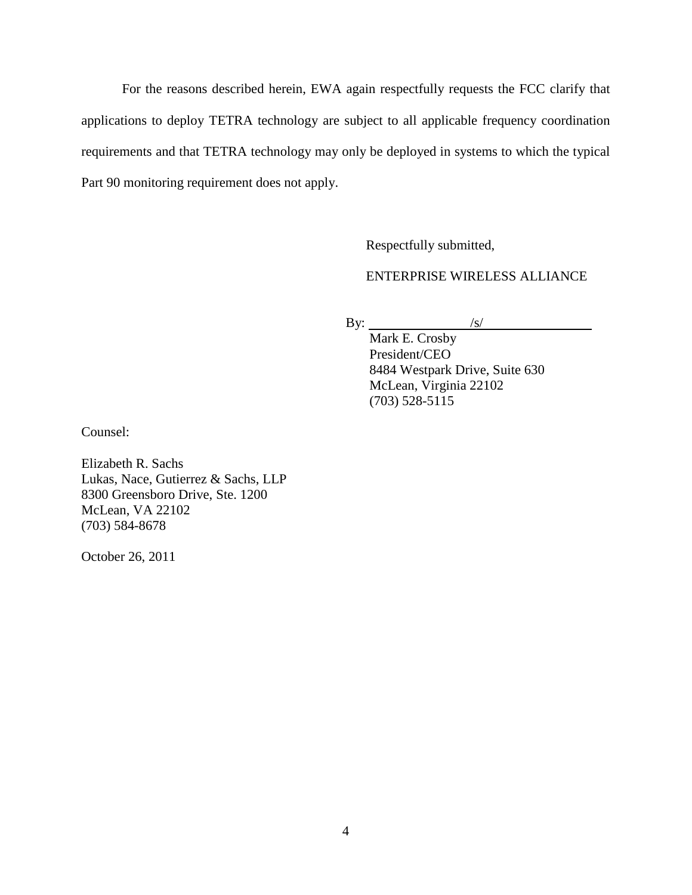For the reasons described herein, EWA again respectfully requests the FCC clarify that applications to deploy TETRA technology are subject to all applicable frequency coordination requirements and that TETRA technology may only be deployed in systems to which the typical Part 90 monitoring requirement does not apply.

Respectfully submitted,

## ENTERPRISE WIRELESS ALLIANCE

By:  $\frac{|s|}{|s|}$ 

Mark E. Crosby President/CEO 8484 Westpark Drive, Suite 630 McLean, Virginia 22102 (703) 528-5115

Counsel:

Elizabeth R. Sachs Lukas, Nace, Gutierrez & Sachs, LLP 8300 Greensboro Drive, Ste. 1200 McLean, VA 22102 (703) 584-8678

October 26, 2011